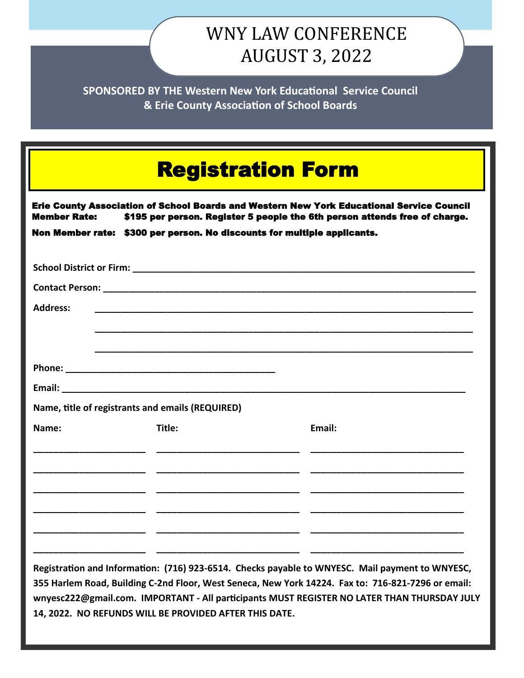## WNY LAW CONFERENCE AUGUST 3, 2022

**SPONSORED BY THE Western New York Educational Service Council & Erie County Association of School Boards**

| <b>Registration Form</b><br>Erie County Association of School Boards and Western New York Educational Service Council<br><b>Member Rate:</b><br>\$195 per person. Register 5 people the 6th person attends free of charge.<br>Non Member rate: \$300 per person. No discounts for multiple applicants. |                                                  |                                                                                                    |
|--------------------------------------------------------------------------------------------------------------------------------------------------------------------------------------------------------------------------------------------------------------------------------------------------------|--------------------------------------------------|----------------------------------------------------------------------------------------------------|
|                                                                                                                                                                                                                                                                                                        |                                                  |                                                                                                    |
|                                                                                                                                                                                                                                                                                                        |                                                  |                                                                                                    |
| <b>Address:</b>                                                                                                                                                                                                                                                                                        |                                                  |                                                                                                    |
|                                                                                                                                                                                                                                                                                                        |                                                  |                                                                                                    |
|                                                                                                                                                                                                                                                                                                        |                                                  |                                                                                                    |
|                                                                                                                                                                                                                                                                                                        |                                                  |                                                                                                    |
|                                                                                                                                                                                                                                                                                                        |                                                  |                                                                                                    |
|                                                                                                                                                                                                                                                                                                        | Name, title of registrants and emails (REQUIRED) |                                                                                                    |
| Name:                                                                                                                                                                                                                                                                                                  | Title:                                           | Email:                                                                                             |
|                                                                                                                                                                                                                                                                                                        |                                                  |                                                                                                    |
|                                                                                                                                                                                                                                                                                                        |                                                  |                                                                                                    |
|                                                                                                                                                                                                                                                                                                        |                                                  |                                                                                                    |
|                                                                                                                                                                                                                                                                                                        |                                                  |                                                                                                    |
|                                                                                                                                                                                                                                                                                                        |                                                  |                                                                                                    |
|                                                                                                                                                                                                                                                                                                        |                                                  | Registration and Information: (716) 923-6514. Checks payable to WNYESC. Mail payment to WNYESC,    |
|                                                                                                                                                                                                                                                                                                        |                                                  | 355 Harlem Road, Building C-2nd Floor, West Seneca, New York 14224. Fax to: 716-821-7296 or email: |
| wnyesc222@gmail.com. IMPORTANT - All participants MUST REGISTER NO LATER THAN THURSDAY JULY<br>14, 2022. NO REFUNDS WILL BE PROVIDED AFTER THIS DATE.                                                                                                                                                  |                                                  |                                                                                                    |